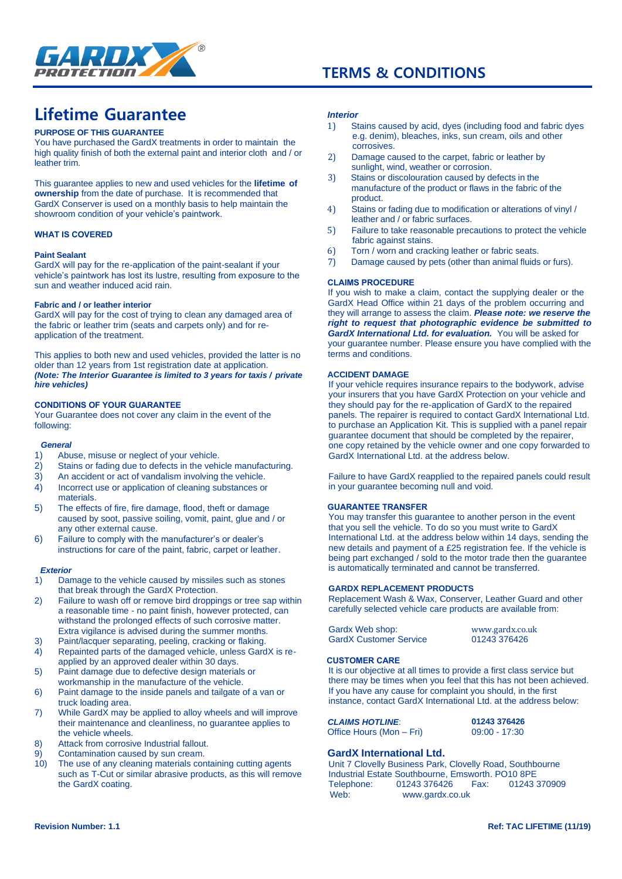

# **TERMS & CONDITIONS**

# **Lifetime Guarantee**

#### **PURPOSE OF THIS GUARANTEE**

You have purchased the GardX treatments in order to maintain the high quality finish of both the external paint and interior cloth and / or leather trim.

This guarantee applies to new and used vehicles for the **lifetime of ownership** from the date of purchase. It is recommended that GardX Conserver is used on a monthly basis to help maintain the showroom condition of your vehicle's paintwork.

#### **WHAT IS COVERED**

#### **Paint Sealant**

GardX will pay for the re-application of the paint-sealant if your vehicle's paintwork has lost its lustre, resulting from exposure to the sun and weather induced acid rain.

#### **Fabric and / or leather interior**

GardX will pay for the cost of trying to clean any damaged area of the fabric or leather trim (seats and carpets only) and for reapplication of the treatment.

This applies to both new and used vehicles, provided the latter is no older than 12 years from 1st registration date at application. *(Note: The Interior Guarantee is limited to 3 years for taxis / private hire vehicles)*

#### **CONDITIONS OF YOUR GUARANTEE**

Your Guarantee does not cover any claim in the event of the following:

#### *General*

- 1) Abuse, misuse or neglect of your vehicle.<br>2) Stains or fading due to defects in the vehicle
- 2) Stains or fading due to defects in the vehicle manufacturing.<br>3) An accident or act of vandalism involving the vehicle.
- An accident or act of vandalism involving the vehicle.
- 4) Incorrect use or application of cleaning substances or materials.
- 5) The effects of fire, fire damage, flood, theft or damage caused by soot, passive soiling, vomit, paint, glue and / or any other external cause.
- 6) Failure to comply with the manufacturer's or dealer's instructions for care of the paint, fabric, carpet or leather.

#### *Exterior*

- 1) Damage to the vehicle caused by missiles such as stones that break through the GardX Protection.
- 2) Failure to wash off or remove bird droppings or tree sap within a reasonable time - no paint finish, however protected, can withstand the prolonged effects of such corrosive matter. Extra vigilance is advised during the summer months.
- 3) Paint/lacquer separating, peeling, cracking or flaking.
- 4) Repainted parts of the damaged vehicle, unless GardX is reapplied by an approved dealer within 30 days.
- 5) Paint damage due to defective design materials or workmanship in the manufacture of the vehicle.
- 6) Paint damage to the inside panels and tailgate of a van or truck loading area.
- 7) While Gard $\bar{X}$  may be applied to alloy wheels and will improve their maintenance and cleanliness, no guarantee applies to the vehicle wheels.
- 8) Attack from corrosive Industrial fallout.
- 9) Contamination caused by sun cream.
- 10) The use of any cleaning materials containing cutting agents such as T-Cut or similar abrasive products, as this will remove the GardX coating.

#### *Interior*

- 1) Stains caused by acid, dyes (including food and fabric dyes e.g. denim), bleaches, inks, sun cream, oils and other corrosives.
- 2) Damage caused to the carpet, fabric or leather by sunlight, wind, weather or corrosion.
- 3) Stains or discolouration caused by defects in the manufacture of the product or flaws in the fabric of the product.
- 4) Stains or fading due to modification or alterations of vinyl / leather and / or fabric surfaces.
- 5) Failure to take reasonable precautions to protect the vehicle fabric against stains.
- 6) Torn / worn and cracking leather or fabric seats.<br>7) Damage caused by pets (other than animal fluids
- Damage caused by pets (other than animal fluids or furs).

#### **CLAIMS PROCEDURE**

If you wish to make a claim, contact the supplying dealer or the GardX Head Office within 21 days of the problem occurring and they will arrange to assess the claim. *Please note: we reserve the right to request that photographic evidence be submitted to GardX International Ltd. for evaluation.* You will be asked for your guarantee number. Please ensure you have complied with the terms and conditions.

#### **ACCIDENT DAMAGE**

If your vehicle requires insurance repairs to the bodywork, advise your insurers that you have GardX Protection on your vehicle and they should pay for the re-application of GardX to the repaired panels. The repairer is required to contact GardX International Ltd. to purchase an Application Kit. This is supplied with a panel repair guarantee document that should be completed by the repairer, one copy retained by the vehicle owner and one copy forwarded to GardX International Ltd. at the address below.

Failure to have GardX reapplied to the repaired panels could result in your guarantee becoming null and void.

#### **GUARANTEE TRANSFER**

You may transfer this guarantee to another person in the event that you sell the vehicle. To do so you must write to GardX International Ltd. at the address below within 14 days, sending the new details and payment of a £25 registration fee. If the vehicle is being part exchanged / sold to the motor trade then the guarantee is automatically terminated and cannot be transferred.

#### **GARDX REPLACEMENT PRODUCTS**

Replacement Wash & Wax, Conserver, Leather Guard and other carefully selected vehicle care products are available from:

| Gardx Web shop:               | www.gardx.co.uk |
|-------------------------------|-----------------|
| <b>GardX Customer Service</b> | 01243 376426    |

#### **CUSTOMER CARE**

It is our objective at all times to provide a first class service but there may be times when you feel that this has not been achieved. If you have any cause for complaint you should, in the first instance, contact GardX International Ltd. at the address below:

*CLAIMS HOTLINE*: **01243 376426** Office Hours (Mon – Fri) 09:00 - 17:30

#### **GardX International Ltd.**

Unit 7 Clovelly Business Park, Clovelly Road, Southbourne Industrial Estate Southbourne, Emsworth. PO10 8PE Telephone: 01243 376426 Fax: 01243 370909<br>Web: www.gardx.co.uk [www.gardx.co.uk](http://www.gardx.co.uk/)